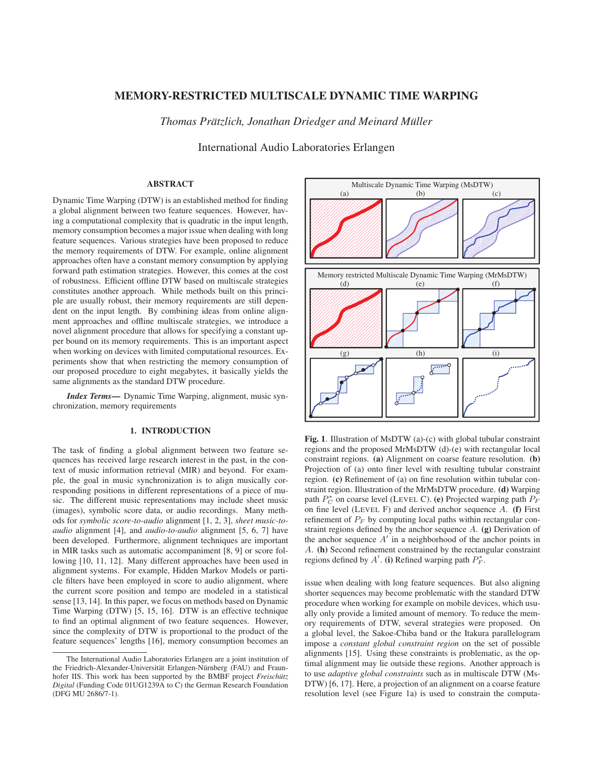# MEMORY-RESTRICTED MULTISCALE DYNAMIC TIME WARPING

*Thomas Prätzlich, Jonathan Driedger and Meinard Müller* 

International Audio Laboratories Erlangen

## ABSTRACT

Dynamic Time Warping (DTW) is an established method for finding a global alignment between two feature sequences. However, having a computational complexity that is quadratic in the input length, memory consumption becomes a major issue when dealing with long feature sequences. Various strategies have been proposed to reduce the memory requirements of DTW. For example, online alignment approaches often have a constant memory consumption by applying forward path estimation strategies. However, this comes at the cost of robustness. Efficient offline DTW based on multiscale strategies constitutes another approach. While methods built on this principle are usually robust, their memory requirements are still dependent on the input length. By combining ideas from online alignment approaches and offline multiscale strategies, we introduce a novel alignment procedure that allows for specifying a constant upper bound on its memory requirements. This is an important aspect when working on devices with limited computational resources. Experiments show that when restricting the memory consumption of our proposed procedure to eight megabytes, it basically yields the same alignments as the standard DTW procedure.

*Index Terms*— Dynamic Time Warping, alignment, music synchronization, memory requirements

## 1. INTRODUCTION

The task of finding a global alignment between two feature sequences has received large research interest in the past, in the context of music information retrieval (MIR) and beyond. For example, the goal in music synchronization is to align musically corresponding positions in different representations of a piece of music. The different music representations may include sheet music (images), symbolic score data, or audio recordings. Many methods for *symbolic score-to-audio* alignment [1, 2, 3], *sheet music-toaudio* alignment [4], and *audio-to-audio* alignment [5, 6, 7] have been developed. Furthermore, alignment techniques are important in MIR tasks such as automatic accompaniment [8, 9] or score following [10, 11, 12]. Many different approaches have been used in alignment systems. For example, Hidden Markov Models or particle filters have been employed in score to audio alignment, where the current score position and tempo are modeled in a statistical sense [13, 14]. In this paper, we focus on methods based on Dynamic Time Warping (DTW) [5, 15, 16]. DTW is an effective technique to find an optimal alignment of two feature sequences. However, since the complexity of DTW is proportional to the product of the feature sequences' lengths [16], memory consumption becomes an



Fig. 1. Illustration of MsDTW (a)-(c) with global tubular constraint regions and the proposed MrMsDTW (d)-(e) with rectangular local constraint regions. (a) Alignment on coarse feature resolution. (b) Projection of (a) onto finer level with resulting tubular constraint region. (c) Refinement of (a) on fine resolution within tubular constraint region. Illustration of the MrMsDTW procedure. (d) Warping path  $P_C^*$  on coarse level (LEVEL C). (e) Projected warping path  $P_F$ on fine level (LEVEL F) and derived anchor sequence  $A$ . (f) First refinement of  $P_F$  by computing local paths within rectangular constraint regions defined by the anchor sequence A. (g) Derivation of the anchor sequence  $A'$  in a neighborhood of the anchor points in A. (h) Second refinement constrained by the rectangular constraint regions defined by A'. (i) Refined warping path  $P_F^*$ .

issue when dealing with long feature sequences. But also aligning shorter sequences may become problematic with the standard DTW procedure when working for example on mobile devices, which usually only provide a limited amount of memory. To reduce the memory requirements of DTW, several strategies were proposed. On a global level, the Sakoe-Chiba band or the Itakura parallelogram impose a *constant global constraint region* on the set of possible alignments [15]. Using these constraints is problematic, as the optimal alignment may lie outside these regions. Another approach is to use *adaptive global constraints* such as in multiscale DTW (Ms-DTW) [6, 17]. Here, a projection of an alignment on a coarse feature resolution level (see Figure 1a) is used to constrain the computa-

The International Audio Laboratories Erlangen are a joint institution of the Friedrich-Alexander-Universität Erlangen-Nürnberg (FAU) and Fraunhofer IIS. This work has been supported by the BMBF project *Freischütz Digital* (Funding Code 01UG1239A to C) the German Research Foundation (DFG MU 2686/7-1).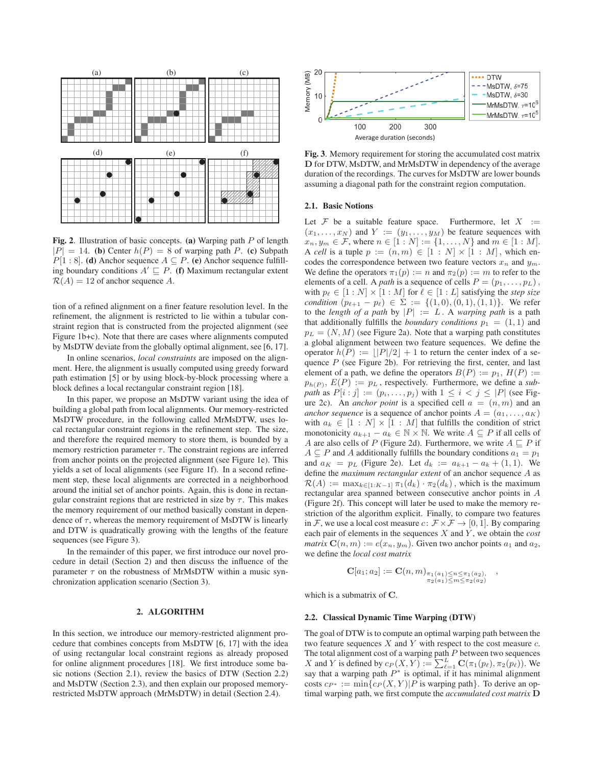

Fig. 2. Illustration of basic concepts. (a) Warping path P of length  $|P| = 14$ . (b) Center  $h(P) = 8$  of warping path P. (c) Subpath  $P[1:8]$ . (d) Anchor sequence  $A \subseteq P$ . (e) Anchor sequence fulfilling boundary conditions  $A' \sqsubseteq P$ . (f) Maximum rectangular extent  $\mathcal{R}(A) = 12$  of anchor sequence A.

tion of a refined alignment on a finer feature resolution level. In the refinement, the alignment is restricted to lie within a tubular constraint region that is constructed from the projected alignment (see Figure 1b+c). Note that there are cases where alignments computed by MsDTW deviate from the globally optimal alignment, see [6, 17].

In online scenarios, *local constraints* are imposed on the alignment. Here, the alignment is usually computed using greedy forward path estimation [5] or by using block-by-block processing where a block defines a local rectangular constraint region [18].

In this paper, we propose an MsDTW variant using the idea of building a global path from local alignments. Our memory-restricted MsDTW procedure, in the following called MrMsDTW, uses local rectangular constraint regions in the refinement step. The size, and therefore the required memory to store them, is bounded by a memory restriction parameter  $\tau$ . The constraint regions are inferred from anchor points on the projected alignment (see Figure 1e). This yields a set of local alignments (see Figure 1f). In a second refinement step, these local alignments are corrected in a neighborhood around the initial set of anchor points. Again, this is done in rectangular constraint regions that are restricted in size by  $\tau$ . This makes the memory requirement of our method basically constant in dependence of  $\tau$ , whereas the memory requirement of MsDTW is linearly and DTW is quadratically growing with the lengths of the feature sequences (see Figure 3).

In the remainder of this paper, we first introduce our novel procedure in detail (Section 2) and then discuss the influence of the parameter  $\tau$  on the robustness of MrMsDTW within a music synchronization application scenario (Section 3).

### 2. ALGORITHM

In this section, we introduce our memory-restricted alignment procedure that combines concepts from MsDTW [6, 17] with the idea of using rectangular local constraint regions as already proposed for online alignment procedures [18]. We first introduce some basic notions (Section 2.1), review the basics of DTW (Section 2.2) and MsDTW (Section 2.3), and then explain our proposed memoryrestricted MsDTW approach (MrMsDTW) in detail (Section 2.4).



Fig. 3. Memory requirement for storing the accumulated cost matrix **D** for DTW, MsDTW, and MrMsDTW in dependency of the average duration of the recordings. The curves for MsDTW are lower bounds assuming a diagonal path for the constraint region computation.

### 2.1. Basic Notions

Let  $\mathcal F$  be a suitable feature space. Furthermore, let  $X :=$  $(x_1,...,x_N)$  and  $Y := (y_1,...,y_M)$  be feature sequences with  $x_n, y_m \in \mathcal{F}$ , where  $n \in [1:N] := \{1, ..., N\}$  and  $m \in [1:M]$ . A *cell* is a tuple  $p := (n, m) \in [1 : N] \times [1 : M]$ , which encodes the correspondence between two feature vectors  $x_n$  and  $y_m$ . We define the operators  $\pi_1(p) := n$  and  $\pi_2(p) := m$  to refer to the elements of a cell. A *path* is a sequence of cells  $P = (p_1, \ldots, p_L)$ , with  $p_{\ell} \in [1:N] \times [1:M]$  for  $\ell \in [1:L]$  satisfying the *step size condition*  $(p_{\ell+1} - p_{\ell}) \in \Sigma := \{(1,0), (0,1), (1,1)\}$ . We refer to the *length of a path* by  $|P| := L$ . A *warping path* is a path that additionally fulfills the *boundary conditions*  $p_1 = (1, 1)$  and  $p_L = (N, M)$  (see Figure 2a). Note that a warping path constitutes a global alignment between two feature sequences. We define the operator  $h(P) := \lfloor |P|/2 \rfloor + 1$  to return the center index of a sequence  $P$  (see Figure 2b). For retrieving the first, center, and last element of a path, we define the operators  $B(P) := p_1$ ,  $H(P) :=$  $p_{h(P)}$ ,  $E(P) := p_L$ , respectively. Furthermore, we define a *subpath* as  $P[i:j] := (p_i, \ldots, p_j)$  with  $1 \leq i < j \leq |P|$  (see Figure 2c). An *anchor point* is a specified cell  $a = (n, m)$  and an *anchor sequence* is a sequence of anchor points  $A = (a_1, \ldots, a_K)$ with  $a_k \in [1 : N] \times [1 : M]$  that fulfills the condition of strict monotonicity  $a_{k+1} - a_k \in \mathbb{N} \times \mathbb{N}$ . We write  $A \subseteq P$  if all cells of A are also cells of P (Figure 2d). Furthermore, we write  $A \sqsubseteq P$  if  $A \subseteq P$  and A additionally fulfills the boundary conditions  $a_1 = p_1$ and  $a_K = p_L$  (Figure 2e). Let  $d_k := a_{k+1} - a_k + (1, 1)$ . We define the *maximum rectangular extent* of an anchor sequence A as  $\mathcal{R}(A) := \max_{k \in [1:K-1]} \pi_1(d_k) \cdot \pi_2(d_k)$ , which is the maximum rectangular area spanned between consecutive anchor points in A (Figure 2f). This concept will later be used to make the memory restriction of the algorithm explicit. Finally, to compare two features in F, we use a local cost measure  $c: \mathcal{F} \times \mathcal{F} \rightarrow [0, 1]$ . By comparing each pair of elements in the sequences X and Y , we obtain the *cost matrix*  $\mathbf{C}(n, m) := c(x_n, y_m)$ . Given two anchor points  $a_1$  and  $a_2$ , we define the *local cost matrix*

$$
\mathbf{C}[a_1; a_2] := \mathbf{C}(n, m)_{\substack{\pi_1(a_1) \le n \le \pi_1(a_2), \\ \pi_2(a_1) \le m \le \pi_2(a_2)}} ,
$$

which is a submatrix of **C**.

#### 2.2. Classical Dynamic Time Warping (DTW)

The goal of DTW is to compute an optimal warping path between the two feature sequences  $X$  and  $Y$  with respect to the cost measure  $c$ . The total alignment cost of a warping path  $P$  between two sequences X and Y is defined by  $c_P(X, Y) := \sum_{\ell=1}^L \mathbf{C}(\pi_1(p_\ell), \pi_2(p_\ell))$ . We say that a warping path  $P^*$  is optimal, if it has minimal alignment costs  $c_{P^*} := \min\{c_P(X, Y) | P \text{ is warping path}\}.$  To derive an optimal warping path, we first compute the *accumulated cost matrix* **D**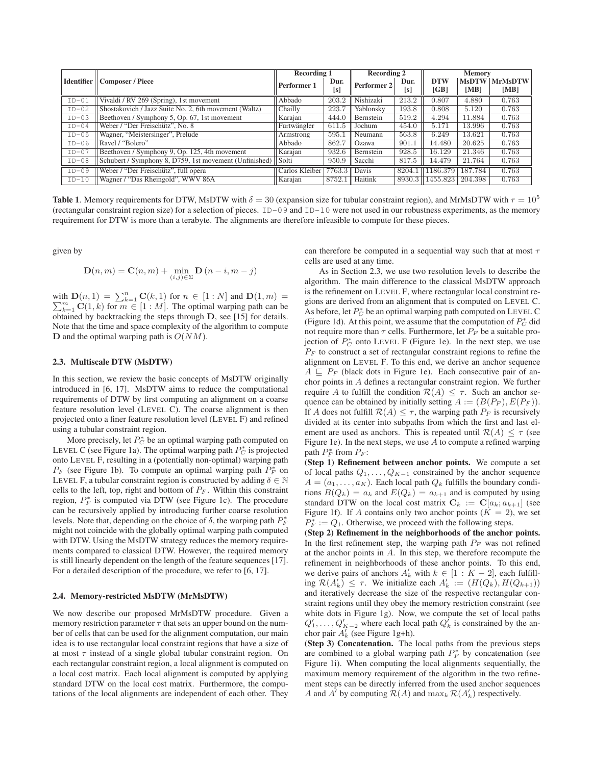|                   | Composer / Piece                                             | <b>Recording 1</b> |                | <b>Recording 2</b> |        | <b>Memory</b> |         |                 |
|-------------------|--------------------------------------------------------------|--------------------|----------------|--------------------|--------|---------------|---------|-----------------|
| <b>Identifier</b> |                                                              | Performer 1        | Dur.           | Performer 2        | Dur.   | <b>DTW</b>    |         | MsDTW   MrMsDTW |
|                   |                                                              |                    | [s]            |                    | [s]    | [GB]          | [MB]    | [MB]            |
| $ID-01$           | Vivaldi / RV 269 (Spring), 1st movement                      | Abbado             | 203.2          | Nishizaki          | 213.2  | 0.807         | 4.880   | 0.763           |
| $ID-02$           | Shostakovich / Jazz Suite No. 2, 6th movement (Waltz)        | Chailly            | 223.7          | Yablonsky          | 193.8  | 0.808         | 5.120   | 0.763           |
| $ID-03$           | Beethoven / Symphony 5, Op. 67, 1st movement                 | Karajan            | 444.0          | Bernstein          | 519.2  | 4.294         | 11.884  | 0.763           |
| $ID-04$           | Weber / "Der Freischütz", No. 8                              | Furtwängler        | $611.5$        | Jochum             | 454.0  | 5.171         | 13.996  | 0.763           |
| $ID-05$           | Wagner, "Meistersinger", Prelude                             | Armstrong          | 595.1          | Neumann            | 563.8  | 6.249         | 13.621  | 0.763           |
| $ID-06$           | Ravel / "Bolero"                                             | Abbado             | 862.7          | <b>Ozawa</b>       | 901.1  | 14.480        | 20.625  | 0.763           |
| $ID-07$           | Beethoven / Symphony 9, Op. 125, 4th movement                | Karajan            | 932.6          | Bernstein          | 928.5  | 16.129        | 21.346  | 0.763           |
| $ID-08$           | Schubert / Symphony 8, D759, 1st movement (Unfinished) Solti |                    | 950.9          | Sacchi             | 817.5  | 14.479        | 21.764  | 0.763           |
| $ID-09$           | Weber / "Der Freischütz", full opera                         | Carlos Kleiber     | $7763.3$ Davis |                    | 8204.1 | 1186.379      | 187.784 | 0.763           |
| $ID-10$           | Wagner / "Das Rheingold", WWV 86A                            | Karajan            | 8752.1         | Haitink            | 8930.3 | 1455.823      | 204.398 | 0.763           |

**Table 1.** Memory requirements for DTW, MsDTW with  $\delta = 30$  (expansion size for tubular constraint region), and MrMsDTW with  $\tau = 10^5$ (rectangular constraint region size) for a selection of pieces. ID-09 and ID-10 were not used in our robustness experiments, as the memory requirement for DTW is more than a terabyte. The alignments are therefore infeasible to compute for these pieces.

given by

$$
\mathbf{D}(n,m) = \mathbf{C}(n,m) + \min_{(i,j)\in\Sigma} \mathbf{D}(n-i,m-j)
$$

with  $\mathbf{D}(n,1) = \sum_{k=1}^{n} \mathbf{C}(k,1)$  for  $n \in [1:N]$  and  $\mathbf{D}(1,m) = \sum_{k=1}^{m} \mathbf{C}(1,k)$  for  $m \in [1:N]$ . The optimal weights as he  $\sum_{k=1}^{m} \mathbf{C}(1, k)$  for  $m \in [1 : M]$ . The optimal warping path can be obtained by backtracking the steps through **D**, see [15] for details. Note that the time and space complexity of the algorithm to compute **D** and the optimal warping path is  $O(NM)$ .

## 2.3. Multiscale DTW (MsDTW)

In this section, we review the basic concepts of MsDTW originally introduced in [6, 17]. MsDTW aims to reduce the computational requirements of DTW by first computing an alignment on a coarse feature resolution level (LEVEL C). The coarse alignment is then projected onto a finer feature resolution level (LEVEL F) and refined using a tubular constraint region.

More precisely, let  $P_C^*$  be an optimal warping path computed on LEVEL C (see Figure 1a). The optimal warping path  $P_C^*$  is projected onto LEVEL F, resulting in a (potentially non-optimal) warping path  $P_F$  (see Figure 1b). To compute an optimal warping path  $P_F^*$  on LEVEL F, a tubular constraint region is constructed by adding  $\delta \in \mathbb{N}$ cells to the left, top, right and bottom of  $P_F$ . Within this constraint region,  $P_F^*$  is computed via DTW (see Figure 1c). The procedure can be recursively applied by introducing further coarse resolution levels. Note that, depending on the choice of  $\delta$ , the warping path  $P_F^*$ might not coincide with the globally optimal warping path computed with DTW. Using the MsDTW strategy reduces the memory requirements compared to classical DTW. However, the required memory is still linearly dependent on the length of the feature sequences [17]. For a detailed description of the procedure, we refer to [6, 17].

### 2.4. Memory-restricted MsDTW (MrMsDTW)

We now describe our proposed MrMsDTW procedure. Given a memory restriction parameter  $\tau$  that sets an upper bound on the number of cells that can be used for the alignment computation, our main idea is to use rectangular local constraint regions that have a size of at most  $\tau$  instead of a single global tubular constraint region. On each rectangular constraint region, a local alignment is computed on a local cost matrix. Each local alignment is computed by applying standard DTW on the local cost matrix. Furthermore, the computations of the local alignments are independent of each other. They can therefore be computed in a sequential way such that at most  $\tau$ cells are used at any time.

As in Section 2.3, we use two resolution levels to describe the algorithm. The main difference to the classical MsDTW approach is the refinement on LEVEL F, where rectangular local constraint regions are derived from an alignment that is computed on LEVEL C. As before, let  $P_C^*$  be an optimal warping path computed on LEVEL C (Figure 1d). At this point, we assume that the computation of  $P_C^*$  did not require more than  $\tau$  cells. Furthermore, let  $P_F$  be a suitable projection of  $P_C^*$  onto LEVEL F (Figure 1e). In the next step, we use  $P_F$  to construct a set of rectangular constraint regions to refine the alignment on LEVEL F. To this end, we derive an anchor sequence  $A \subseteq P_F$  (black dots in Figure 1e). Each consecutive pair of anchor points in A defines a rectangular constraint region. We further require A to fulfill the condition  $\mathcal{R}(A) \leq \tau$ . Such an anchor sequence can be obtained by initially setting  $A := (B(P_F), E(P_F)).$ If A does not fulfill  $\mathcal{R}(A) \leq \tau$ , the warping path  $P_F$  is recursively divided at its center into subpaths from which the first and last element are used as anchors. This is repeated until  $\mathcal{R}(A) \leq \tau$  (see Figure 1e). In the next steps, we use  $A$  to compute a refined warping path  $P_F^*$  from  $P_F$ :

(Step 1) Refinement between anchor points. We compute a set of local paths  $Q_1, \ldots, Q_{K-1}$  constrained by the anchor sequence  $A = (a_1, \ldots, a_K)$ . Each local path  $Q_k$  fulfills the boundary conditions  $B(Q_k) = a_k$  and  $E(Q_k) = a_{k+1}$  and is computed by using standard DTW on the local cost matrix  $C_k := C[a_k; a_{k+1}]$  (see Figure 1f). If A contains only two anchor points  $(K = 2)$ , we set  $P_F^* := Q_1$ . Otherwise, we proceed with the following steps.

(Step 2) Refinement in the neighborhoods of the anchor points. In the first refinement step, the warping path  $P_F$  was not refined at the anchor points in A. In this step, we therefore recompute the refinement in neighborhoods of these anchor points. To this end, we derive pairs of anchors  $A'_k$  with  $k \in [1 : K - 2]$ , each fulfilling  $\mathcal{R}(A'_k) \leq \tau$ . We initialize each  $A'_k := (H(Q_k), H(Q_{k+1}))$ and iteratively decrease the size of the respective rectangular constraint regions until they obey the memory restriction constraint (see white dots in Figure 1g). Now, we compute the set of local paths  $Q'_1, \ldots, Q'_{K-2}$  where each local path  $Q'_k$  is constrained by the anchor pair  $A'_k$  (see Figure 1g+h).

(Step 3) Concatenation. The local paths from the previous steps are combined to a global warping path  $P_F^*$  by concatenation (see Figure 1i). When computing the local alignments sequentially, the maximum memory requirement of the algorithm in the two refinement steps can be directly inferred from the used anchor sequences A and  $A^{\dagger}$  by computing  $\mathcal{R}(A)$  and  $\max_k \mathcal{R}(A'_k)$  respectively.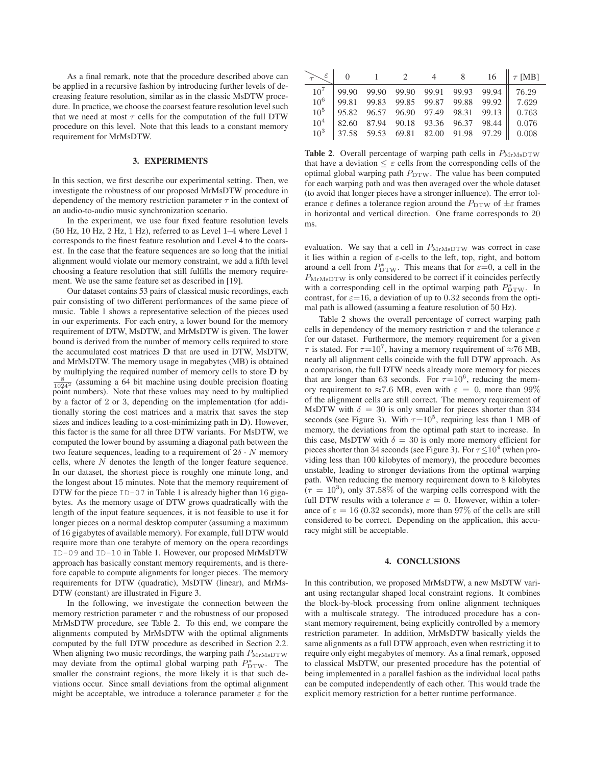As a final remark, note that the procedure described above can be applied in a recursive fashion by introducing further levels of decreasing feature resolution, similar as in the classic MsDTW procedure. In practice, we choose the coarsest feature resolution level such that we need at most  $\tau$  cells for the computation of the full DTW procedure on this level. Note that this leads to a constant memory requirement for MrMsDTW.

### 3. EXPERIMENTS

In this section, we first describe our experimental setting. Then, we investigate the robustness of our proposed MrMsDTW procedure in dependency of the memory restriction parameter  $\tau$  in the context of an audio-to-audio music synchronization scenario.

In the experiment, we use four fixed feature resolution levels (50 Hz, 10 Hz, 2 Hz, 1 Hz), referred to as Level 1–4 where Level 1 corresponds to the finest feature resolution and Level 4 to the coarsest. In the case that the feature sequences are so long that the initial alignment would violate our memory constraint, we add a fifth level choosing a feature resolution that still fulfills the memory requirement. We use the same feature set as described in [19].

Our dataset contains 53 pairs of classical music recordings, each pair consisting of two different performances of the same piece of music. Table 1 shows a representative selection of the pieces used in our experiments. For each entry, a lower bound for the memory requirement of DTW, MsDTW, and MrMsDTW is given. The lower bound is derived from the number of memory cells required to store the accumulated cost matrices **D** that are used in DTW, MsDTW, and MrMsDTW. The memory usage in megabytes (MB) is obtained by multiplying the required number of memory cells to store **D** by  $\frac{8}{1024^2}$  (assuming a 64 bit machine using double precision floating point numbers). Note that these values may need to by multiplied by a factor of 2 or 3, depending on the implementation (for additionally storing the cost matrices and a matrix that saves the step sizes and indices leading to a cost-minimizing path in **D**). However, this factor is the same for all three DTW variants. For MsDTW, we computed the lower bound by assuming a diagonal path between the two feature sequences, leading to a requirement of  $2\delta \cdot N$  memory cells, where N denotes the length of the longer feature sequence. In our dataset, the shortest piece is roughly one minute long, and the longest about 15 minutes. Note that the memory requirement of DTW for the piece  $ID-07$  in Table 1 is already higher than 16 gigabytes. As the memory usage of DTW grows quadratically with the length of the input feature sequences, it is not feasible to use it for longer pieces on a normal desktop computer (assuming a maximum of 16 gigabytes of available memory). For example, full DTW would require more than one terabyte of memory on the opera recordings ID-09 and ID-10 in Table 1. However, our proposed MrMsDTW approach has basically constant memory requirements, and is therefore capable to compute alignments for longer pieces. The memory requirements for DTW (quadratic), MsDTW (linear), and MrMs-DTW (constant) are illustrated in Figure 3.

In the following, we investigate the connection between the memory restriction parameter  $\tau$  and the robustness of our proposed MrMsDTW procedure, see Table 2. To this end, we compare the alignments computed by MrMsDTW with the optimal alignments computed by the full DTW procedure as described in Section 2.2. When aligning two music recordings, the warping path  $P_{\text{MrMsDTW}}$ may deviate from the optimal global warping path  $P_{\text{DTW}}^*$ . The smaller the constraint regions, the more likely it is that such deviations occur. Since small deviations from the optimal alignment might be acceptable, we introduce a tolerance parameter  $\varepsilon$  for the

|                 |  |  |  | $\begin{array}{ccccccc} \varepsilon & 0 & 1 & 2 & 4 & 8 & 16 & \tau \text{ [MB]} \end{array}$ |
|-----------------|--|--|--|-----------------------------------------------------------------------------------------------|
| 10 <sup>7</sup> |  |  |  |                                                                                               |
| $10^6$          |  |  |  |                                                                                               |
| 10 <sup>5</sup> |  |  |  |                                                                                               |
| $10^4$          |  |  |  |                                                                                               |
|                 |  |  |  | $10^3$   37.58 59.53 69.81 82.00 91.98 97.29    0.008                                         |

Table 2. Overall percentage of warping path cells in  $P_{\text{MrMsDTW}}$ that have a deviation  $\leq \varepsilon$  cells from the corresponding cells of the optimal global warping path  $P_{\text{DTW}}$ . The value has been computed for each warping path and was then averaged over the whole dataset (to avoid that longer pieces have a stronger influence). The error tolerance  $\varepsilon$  defines a tolerance region around the  $P_{\text{DTW}}$  of  $\pm \varepsilon$  frames in horizontal and vertical direction. One frame corresponds to 20 ms.

evaluation. We say that a cell in  $P_{\text{MrMsDTW}}$  was correct in case it lies within a region of  $\varepsilon$ -cells to the left, top, right, and bottom around a cell from  $P_{\text{DTW}}^*$ . This means that for  $\varepsilon=0$ , a cell in the  $P_{\text{MrMsDTW}}$  is only considered to be correct if it coincides perfectly with a corresponding cell in the optimal warping path  $P_{\text{DTW}}^*$ . In contrast, for  $\varepsilon$ =16, a deviation of up to 0.32 seconds from the optimal path is allowed (assuming a feature resolution of 50 Hz).

Table 2 shows the overall percentage of correct warping path cells in dependency of the memory restriction  $\tau$  and the tolerance  $\varepsilon$ for our dataset. Furthermore, the memory requirement for a given  $\tau$  is stated. For  $\tau=10^7$ , having a memory requirement of  $\approx 76$  MB, nearly all alignment cells coincide with the full DTW approach. As a comparison, the full DTW needs already more memory for pieces that are longer than 63 seconds. For  $\tau=10^6$ , reducing the memory requirement to  $\approx 7.6$  MB, even with  $\varepsilon = 0$ , more than 99% of the alignment cells are still correct. The memory requirement of MsDTW with  $\delta = 30$  is only smaller for pieces shorter than 334 seconds (see Figure 3). With  $\tau=10^5$ , requiring less than 1 MB of memory, the deviations from the optimal path start to increase. In this case, MsDTW with  $\delta = 30$  is only more memory efficient for pieces shorter than 34 seconds (see Figure 3). For  $\tau \leq 10^4$  (when providing less than 100 kilobytes of memory), the procedure becomes unstable, leading to stronger deviations from the optimal warping path. When reducing the memory requirement down to 8 kilobytes  $(\tau = 10^3)$ , only 37.58% of the warping cells correspond with the full DTW results with a tolerance  $\varepsilon = 0$ . However, within a tolerance of  $\varepsilon = 16$  (0.32 seconds), more than 97% of the cells are still considered to be correct. Depending on the application, this accuracy might still be acceptable.

#### 4. CONCLUSIONS

In this contribution, we proposed MrMsDTW, a new MsDTW variant using rectangular shaped local constraint regions. It combines the block-by-block processing from online alignment techniques with a multiscale strategy. The introduced procedure has a constant memory requirement, being explicitly controlled by a memory restriction parameter. In addition, MrMsDTW basically yields the same alignments as a full DTW approach, even when restricting it to require only eight megabytes of memory. As a final remark, opposed to classical MsDTW, our presented procedure has the potential of being implemented in a parallel fashion as the individual local paths can be computed independently of each other. This would trade the explicit memory restriction for a better runtime performance.